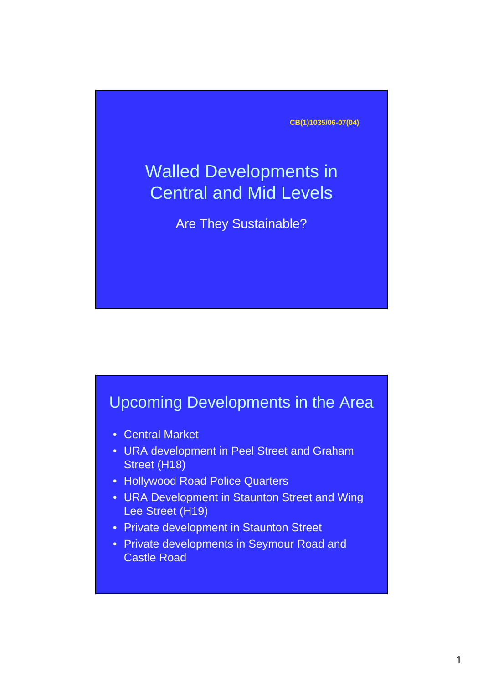**CB(1)1035/06-07(04)**

# Walled Developments in Central and Mid Levels

Are They Sustainable?

#### Upcoming Developments in the Area

- Central Market
- URA development in Peel Street and Graham Street (H18)
- Hollywood Road Police Quarters
- URA Development in Staunton Street and Wing Lee Street (H19)
- Private development in Staunton Street
- Private developments in Seymour Road and Castle Road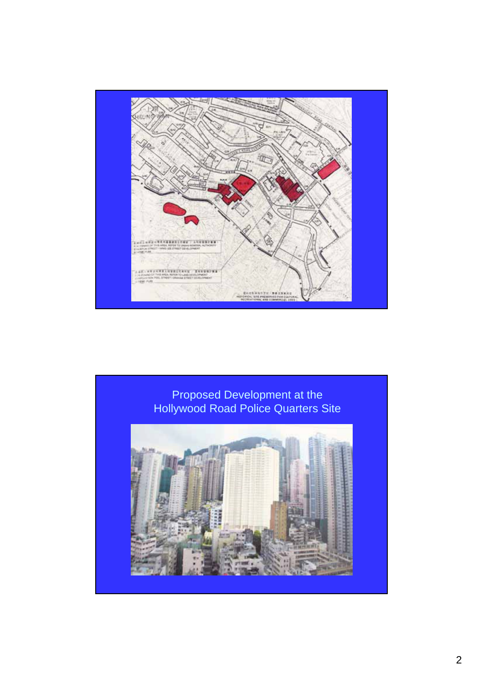

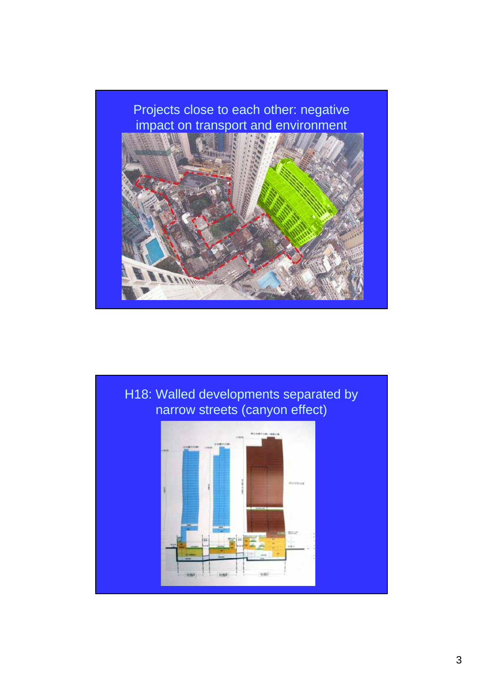# Projects close to each other: negative impact on transport and environment



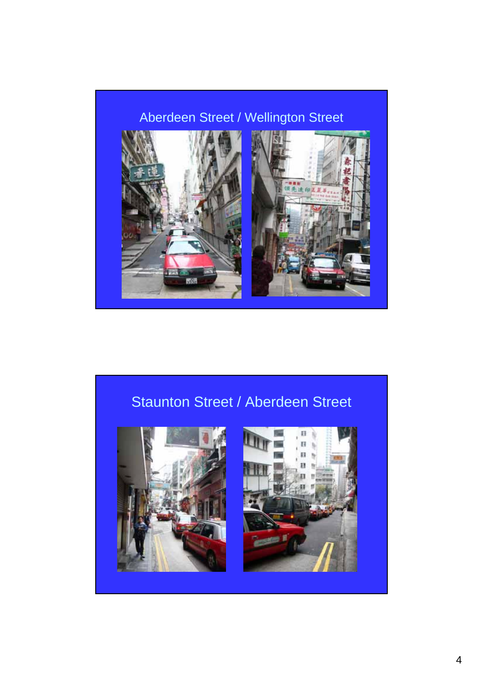### Aberdeen Street / Wellington Street



### Staunton Street / Aberdeen Street



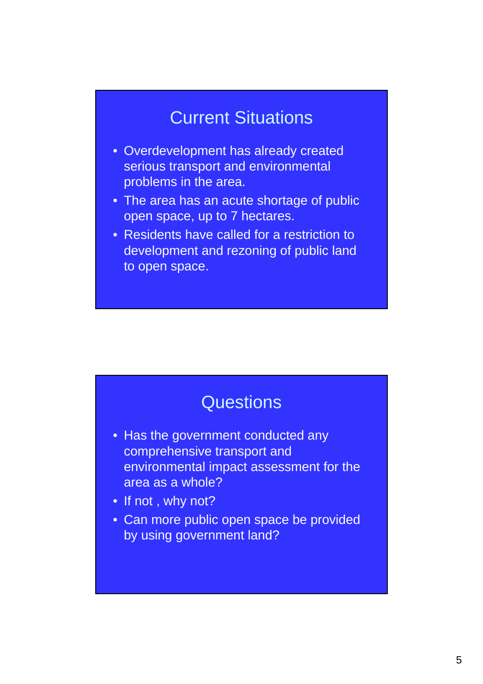# Current Situations

- Overdevelopment has already created serious transport and environmental problems in the area.
- The area has an acute shortage of public open space, up to 7 hectares.
- Residents have called for a restriction to development and rezoning of public land to open space.

## **Questions**

- Has the government conducted any comprehensive transport and environmental impact assessment for the area as a whole?
- If not, why not?
- Can more public open space be provided by using government land?